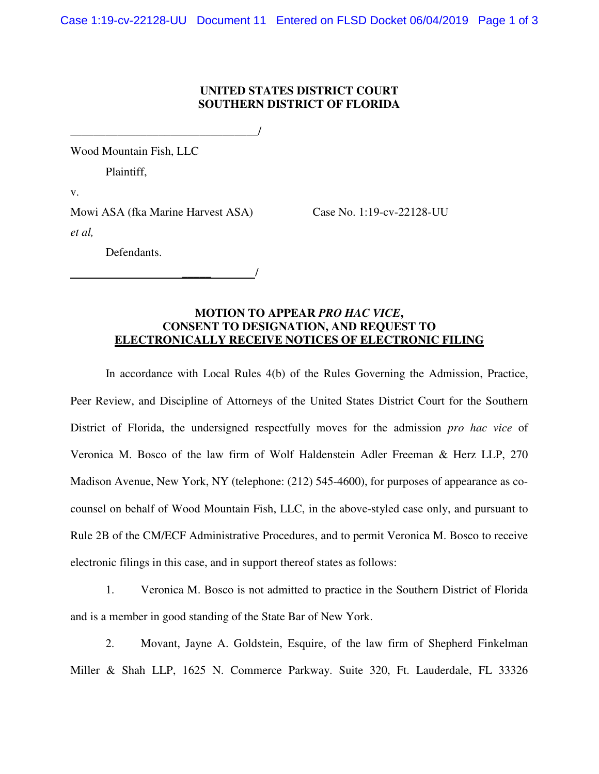## **UNITED STATES DISTRICT COURT SOUTHERN DISTRICT OF FLORIDA**

Wood Mountain Fish, LLC

Plaintiff,

v.

Mowi ASA (fka Marine Harvest ASA) Case No. 1:19-cv-22128-UU *et al,* 

\_\_\_\_\_ /

\_\_\_\_\_\_\_\_\_\_\_\_\_\_\_\_\_\_\_\_\_\_\_\_\_\_\_\_\_\_\_\_/

Defendants.

## **MOTION TO APPEAR** *PRO HAC VICE***, CONSENT TO DESIGNATION, AND REQUEST TO ELECTRONICALLY RECEIVE NOTICES OF ELECTRONIC FILING**

In accordance with Local Rules 4(b) of the Rules Governing the Admission, Practice, Peer Review, and Discipline of Attorneys of the United States District Court for the Southern District of Florida, the undersigned respectfully moves for the admission *pro hac vice* of Veronica M. Bosco of the law firm of Wolf Haldenstein Adler Freeman & Herz LLP, 270 Madison Avenue, New York, NY (telephone: (212) 545-4600), for purposes of appearance as cocounsel on behalf of Wood Mountain Fish, LLC, in the above-styled case only, and pursuant to Rule 2B of the CM/ECF Administrative Procedures, and to permit Veronica M. Bosco to receive electronic filings in this case, and in support thereof states as follows:

1. Veronica M. Bosco is not admitted to practice in the Southern District of Florida and is a member in good standing of the State Bar of New York.

2. Movant, Jayne A. Goldstein, Esquire, of the law firm of Shepherd Finkelman Miller & Shah LLP, 1625 N. Commerce Parkway. Suite 320, Ft. Lauderdale, FL 33326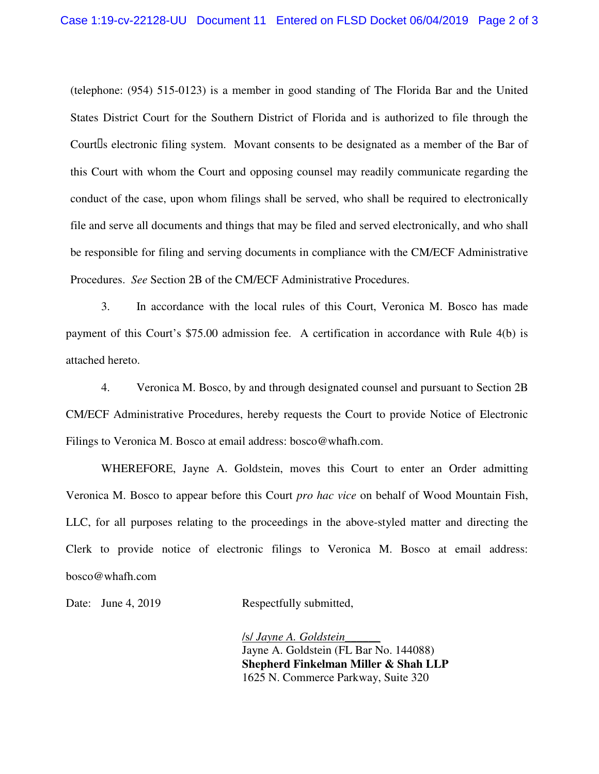(telephone: (954) 515-0123) is a member in good standing of The Florida Bar and the United States District Court for the Southern District of Florida and is authorized to file through the Court s electronic filing system. Movant consents to be designated as a member of the Bar of this Court with whom the Court and opposing counsel may readily communicate regarding the conduct of the case, upon whom filings shall be served, who shall be required to electronically file and serve all documents and things that may be filed and served electronically, and who shall be responsible for filing and serving documents in compliance with the CM/ECF Administrative Procedures. *See* Section 2B of the CM/ECF Administrative Procedures.

3. In accordance with the local rules of this Court, Veronica M. Bosco has made payment of this Court's \$75.00 admission fee. A certification in accordance with Rule 4(b) is attached hereto.

4. Veronica M. Bosco, by and through designated counsel and pursuant to Section 2B CM/ECF Administrative Procedures, hereby requests the Court to provide Notice of Electronic Filings to Veronica M. Bosco at email address: bosco@whafh.com.

WHEREFORE, Jayne A. Goldstein, moves this Court to enter an Order admitting Veronica M. Bosco to appear before this Court *pro hac vice* on behalf of Wood Mountain Fish, LLC, for all purposes relating to the proceedings in the above-styled matter and directing the Clerk to provide notice of electronic filings to Veronica M. Bosco at email address: bosco@whafh.com

Date: June 4, 2019 Respectfully submitted,

/s/ *Jayne A. Goldstein*\_\_\_\_\_\_ Jayne A. Goldstein (FL Bar No. 144088) **Shepherd Finkelman Miller & Shah LLP**  1625 N. Commerce Parkway, Suite 320